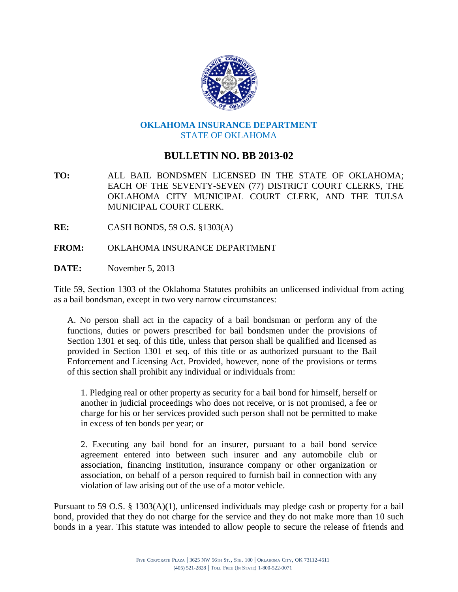

## **OKLAHOMA INSURANCE DEPARTMENT** STATE OF OKLAHOMA

## **BULLETIN NO. BB 2013-02**

**TO:** ALL BAIL BONDSMEN LICENSED IN THE STATE OF OKLAHOMA; EACH OF THE SEVENTY-SEVEN (77) DISTRICT COURT CLERKS, THE OKLAHOMA CITY MUNICIPAL COURT CLERK, AND THE TULSA MUNICIPAL COURT CLERK.

**RE:** CASH BONDS, 59 O.S. §1303(A)

- **FROM:** OKLAHOMA INSURANCE DEPARTMENT
- **DATE:** November 5, 2013

Title 59, Section 1303 of the Oklahoma Statutes prohibits an unlicensed individual from acting as a bail bondsman, except in two very narrow circumstances:

A. No person shall act in the capacity of a bail bondsman or perform any of the functions, duties or powers prescribed for bail bondsmen under the provisions of Section 1301 et seq. of this title, unless that person shall be qualified and licensed as provided in Section 1301 et seq. of this title or as authorized pursuant to the Bail Enforcement and Licensing Act. Provided, however, none of the provisions or terms of this section shall prohibit any individual or individuals from:

1. Pledging real or other property as security for a bail bond for himself, herself or another in judicial proceedings who does not receive, or is not promised, a fee or charge for his or her services provided such person shall not be permitted to make in excess of ten bonds per year; or

2. Executing any bail bond for an insurer, pursuant to a bail bond service agreement entered into between such insurer and any automobile club or association, financing institution, insurance company or other organization or association, on behalf of a person required to furnish bail in connection with any violation of law arising out of the use of a motor vehicle.

Pursuant to 59 O.S. § 1303(A)(1), unlicensed individuals may pledge cash or property for a bail bond, provided that they do not charge for the service and they do not make more than 10 such bonds in a year. This statute was intended to allow people to secure the release of friends and